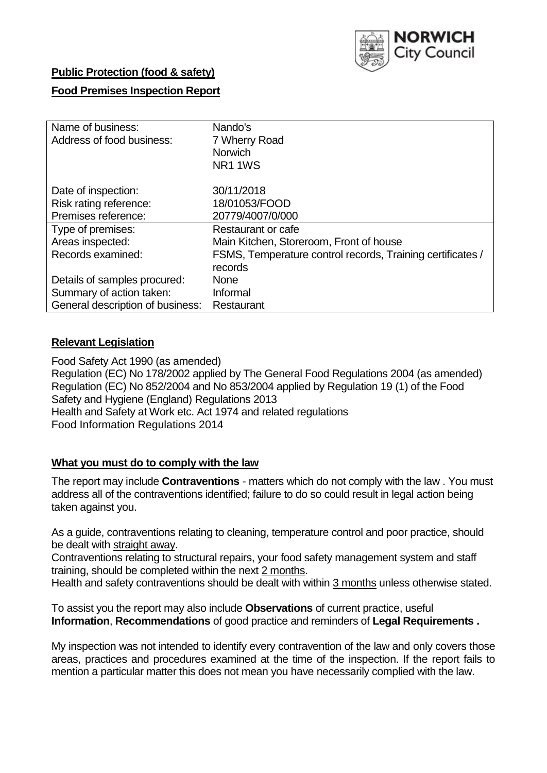

## **Public Protection (food & safety)**

## **Food Premises Inspection Report**

| Name of business:<br>Address of food business: | Nando's<br>7 Wherry Road<br><b>Norwich</b><br>NR <sub>1</sub> 1WS |
|------------------------------------------------|-------------------------------------------------------------------|
| Date of inspection:                            | 30/11/2018                                                        |
| Risk rating reference:                         | 18/01053/FOOD                                                     |
| Premises reference:                            | 20779/4007/0/000                                                  |
| Type of premises:                              | Restaurant or cafe                                                |
| Areas inspected:                               | Main Kitchen, Storeroom, Front of house                           |
| Records examined:                              | FSMS, Temperature control records, Training certificates /        |
|                                                | records                                                           |
| Details of samples procured:                   | <b>None</b>                                                       |
| Summary of action taken:                       | Informal                                                          |
| General description of business:               | Restaurant                                                        |

## **Relevant Legislation**

Food Safety Act 1990 (as amended) Regulation (EC) No 178/2002 applied by The General Food Regulations 2004 (as amended) Regulation (EC) No 852/2004 and No 853/2004 applied by Regulation 19 (1) of the Food Safety and Hygiene (England) Regulations 2013 Health and Safety at Work etc. Act 1974 and related regulations Food Information Regulations 2014

## **What you must do to comply with the law**

The report may include **Contraventions** - matters which do not comply with the law . You must address all of the contraventions identified; failure to do so could result in legal action being taken against you.

As a guide, contraventions relating to cleaning, temperature control and poor practice, should be dealt with straight away.

Contraventions relating to structural repairs, your food safety management system and staff training, should be completed within the next 2 months.

Health and safety contraventions should be dealt with within 3 months unless otherwise stated.

To assist you the report may also include **Observations** of current practice, useful **Information**, **Recommendations** of good practice and reminders of **Legal Requirements .**

My inspection was not intended to identify every contravention of the law and only covers those areas, practices and procedures examined at the time of the inspection. If the report fails to mention a particular matter this does not mean you have necessarily complied with the law.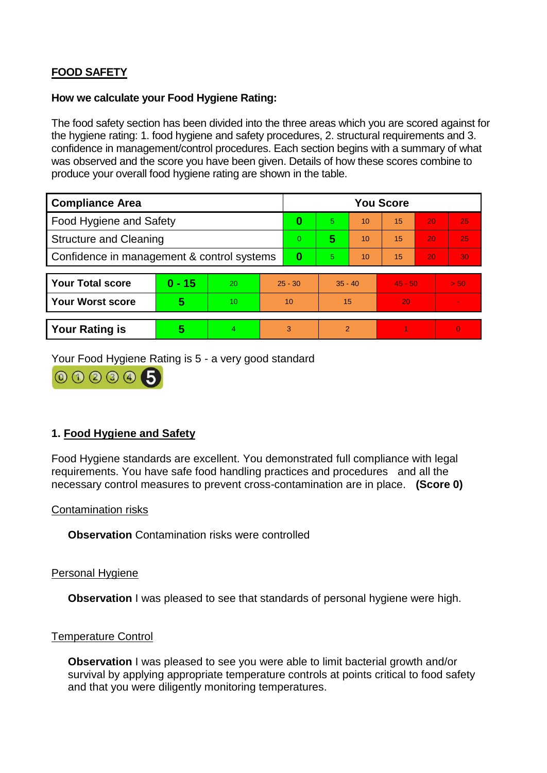# **FOOD SAFETY**

### **How we calculate your Food Hygiene Rating:**

The food safety section has been divided into the three areas which you are scored against for the hygiene rating: 1. food hygiene and safety procedures, 2. structural requirements and 3. confidence in management/control procedures. Each section begins with a summary of what was observed and the score you have been given. Details of how these scores combine to produce your overall food hygiene rating are shown in the table.

| <b>Compliance Area</b>                     |          |    |                | <b>You Score</b> |                |    |           |    |                |  |  |
|--------------------------------------------|----------|----|----------------|------------------|----------------|----|-----------|----|----------------|--|--|
| Food Hygiene and Safety                    |          |    |                | 0                | 5.             | 10 | 15        | 20 | 25             |  |  |
| <b>Structure and Cleaning</b>              |          |    | $\overline{0}$ | 5                | 10             | 15 | 20        | 25 |                |  |  |
| Confidence in management & control systems |          |    | 0              | 5                | 10             | 15 | 20        | 30 |                |  |  |
|                                            |          |    |                |                  |                |    |           |    |                |  |  |
| <b>Your Total score</b>                    | $0 - 15$ | 20 | $25 - 30$      |                  | $35 - 40$      |    | $45 - 50$ |    | > 50           |  |  |
| <b>Your Worst score</b>                    | 5        | 10 | 10             |                  | 15             |    | 20        |    | $\blacksquare$ |  |  |
|                                            |          |    |                |                  |                |    |           |    |                |  |  |
| <b>Your Rating is</b>                      | 5        | 4  | 3              |                  | $\overline{2}$ |    |           |    | $\Omega$       |  |  |

Your Food Hygiene Rating is 5 - a very good standard



## **1. Food Hygiene and Safety**

Food Hygiene standards are excellent. You demonstrated full compliance with legal requirements. You have safe food handling practices and procedures and all the necessary control measures to prevent cross-contamination are in place. **(Score 0)**

### Contamination risks

**Observation** Contamination risks were controlled

### Personal Hygiene

**Observation** I was pleased to see that standards of personal hygiene were high.

### Temperature Control

**Observation** I was pleased to see you were able to limit bacterial growth and/or survival by applying appropriate temperature controls at points critical to food safety and that you were diligently monitoring temperatures.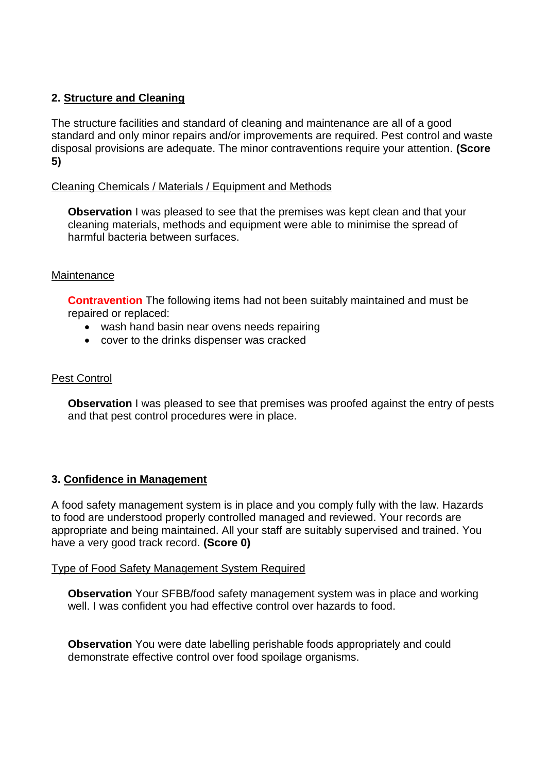## **2. Structure and Cleaning**

The structure facilities and standard of cleaning and maintenance are all of a good standard and only minor repairs and/or improvements are required. Pest control and waste disposal provisions are adequate. The minor contraventions require your attention. **(Score 5)**

### Cleaning Chemicals / Materials / Equipment and Methods

**Observation** I was pleased to see that the premises was kept clean and that your cleaning materials, methods and equipment were able to minimise the spread of harmful bacteria between surfaces.

### **Maintenance**

**Contravention** The following items had not been suitably maintained and must be repaired or replaced:

- wash hand basin near ovens needs repairing
- cover to the drinks dispenser was cracked

## Pest Control

**Observation** I was pleased to see that premises was proofed against the entry of pests and that pest control procedures were in place.

## **3. Confidence in Management**

A food safety management system is in place and you comply fully with the law. Hazards to food are understood properly controlled managed and reviewed. Your records are appropriate and being maintained. All your staff are suitably supervised and trained. You have a very good track record. **(Score 0)**

### Type of Food Safety Management System Required

**Observation** Your SFBB/food safety management system was in place and working well. I was confident you had effective control over hazards to food.

**Observation** You were date labelling perishable foods appropriately and could demonstrate effective control over food spoilage organisms.